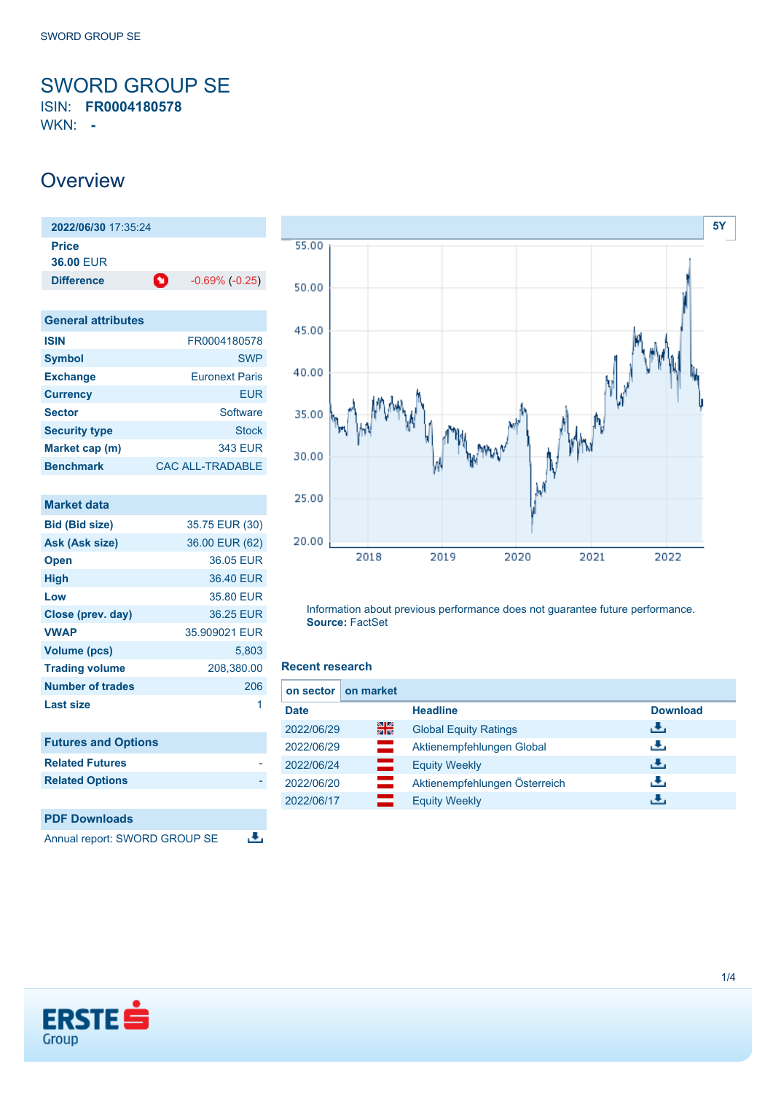<span id="page-0-0"></span>SWORD GROUP SE ISIN: **FR0004180578**

WKN: **-**

## **Overview**

| 2022/06/30 17:35:24 |   |                     |
|---------------------|---|---------------------|
| <b>Price</b>        |   |                     |
| <b>36.00 FUR</b>    |   |                     |
| <b>Difference</b>   | o | $-0.69\%$ $(-0.25)$ |
|                     |   |                     |

| <b>General attributes</b> |                         |  |
|---------------------------|-------------------------|--|
| <b>ISIN</b>               | FR0004180578            |  |
| <b>Symbol</b>             | <b>SWP</b>              |  |
| <b>Exchange</b>           | <b>Furonext Paris</b>   |  |
| <b>Currency</b>           | FUR                     |  |
| <b>Sector</b>             | Software                |  |
| <b>Security type</b>      | Stock                   |  |
| Market cap (m)            | 343 EUR                 |  |
| <b>Benchmark</b>          | <b>CAC ALL-TRADABLE</b> |  |

| <b>Market data</b>         |                |
|----------------------------|----------------|
| <b>Bid (Bid size)</b>      | 35.75 EUR (30) |
| Ask (Ask size)             | 36.00 EUR (62) |
| <b>Open</b>                | 36.05 EUR      |
| <b>High</b>                | 36.40 EUR      |
| Low                        | 35.80 EUR      |
| Close (prev. day)          | 36.25 EUR      |
| <b>VWAP</b>                | 35.909021 EUR  |
| <b>Volume (pcs)</b>        | 5,803          |
| <b>Trading volume</b>      | 208,380.00     |
| Number of trades           | 206            |
| Last size                  | 1              |
| <b>Futures and Options</b> |                |
| <b>Related Futures</b>     |                |
| <b>Related Options</b>     |                |
|                            |                |
| <b>PDF Downloads</b>       |                |

Annual report: SWORD GROUP SE



Information about previous performance does not guarantee future performance. **Source:** FactSet

### **Recent research**

舌

|             | on sector   on market |                               |                 |
|-------------|-----------------------|-------------------------------|-----------------|
| <b>Date</b> |                       | <b>Headline</b>               | <b>Download</b> |
| 2022/06/29  | 을중                    | <b>Global Equity Ratings</b>  | رنان            |
| 2022/06/29  | =                     | Aktienempfehlungen Global     | رنان            |
| 2022/06/24  | —                     | <b>Equity Weekly</b>          | J.              |
| 2022/06/20  |                       | Aktienempfehlungen Österreich | رنان            |
| 2022/06/17  |                       | <b>Equity Weekly</b>          | æ,              |

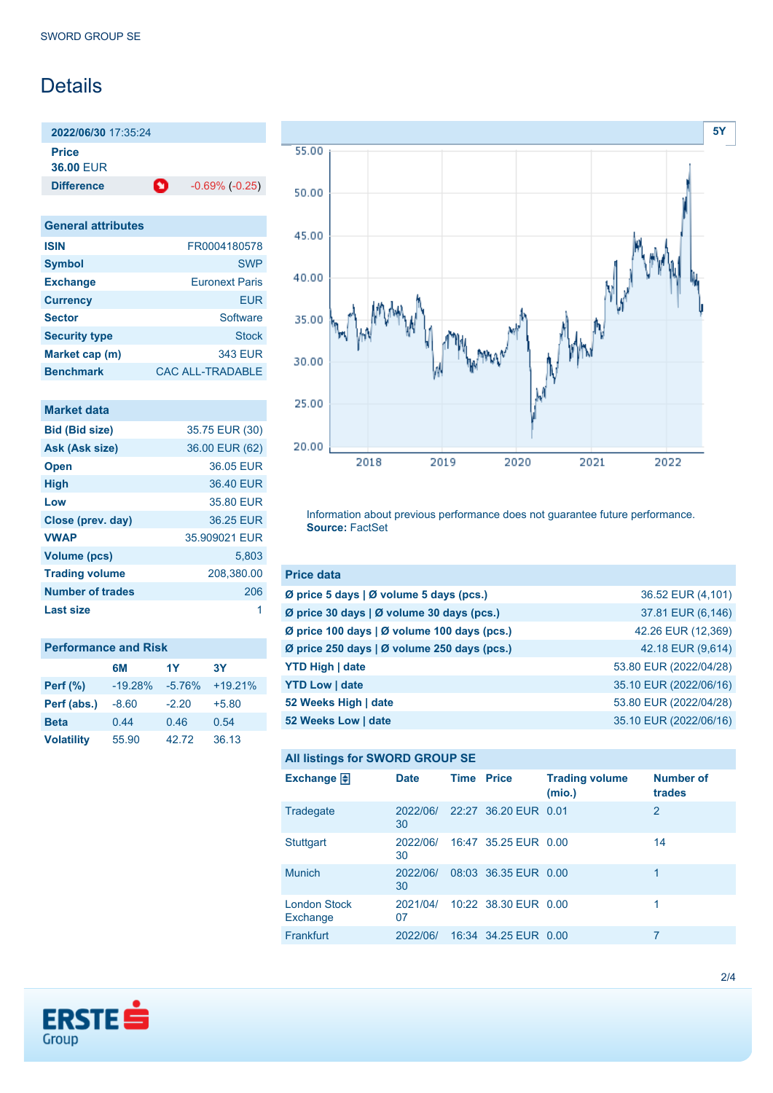# Details

**2022/06/30** 17:35:24 **Price 36.00** EUR

**Difference 1** -0.69% (-0.25)

| <b>General attributes</b> |                         |
|---------------------------|-------------------------|
| <b>ISIN</b>               | FR0004180578            |
| <b>Symbol</b>             | <b>SWP</b>              |
| <b>Exchange</b>           | <b>Euronext Paris</b>   |
| <b>Currency</b>           | EUR                     |
| <b>Sector</b>             | Software                |
| <b>Security type</b>      | <b>Stock</b>            |
| Market cap (m)            | <b>343 EUR</b>          |
| <b>Benchmark</b>          | <b>CAC ALL-TRADABLE</b> |

| <b>Market data</b>      |                |
|-------------------------|----------------|
| <b>Bid (Bid size)</b>   | 35.75 EUR (30) |
| Ask (Ask size)          | 36.00 EUR (62) |
| <b>Open</b>             | 36.05 EUR      |
| <b>High</b>             | 36.40 EUR      |
| Low                     | 35.80 EUR      |
| Close (prev. day)       | 36.25 EUR      |
| <b>VWAP</b>             | 35.909021 EUR  |
| <b>Volume (pcs)</b>     | 5.803          |
| <b>Trading volume</b>   | 208,380.00     |
| <b>Number of trades</b> | 206            |
| Last size               |                |

| <b>Performance and Risk</b> |           |          |           |  |
|-----------------------------|-----------|----------|-----------|--|
|                             | 6M        | 1Y       | 3Υ        |  |
| <b>Perf</b> (%)             | $-19.28%$ | $-5.76%$ | $+19.21%$ |  |
| Perf (abs.)                 | $-8.60$   | $-2.20$  | $+5.80$   |  |
| <b>Beta</b>                 | 0.44      | 0.46     | 0.54      |  |
| <b>Volatility</b>           | 55.90     | 42.72    | 36.13     |  |



Information about previous performance does not guarantee future performance. **Source:** FactSet

| <b>Price data</b>                                     |                        |
|-------------------------------------------------------|------------------------|
| Ø price 5 days $\vert \emptyset$ volume 5 days (pcs.) | 36.52 EUR (4,101)      |
| Ø price 30 days   Ø volume 30 days (pcs.)             | 37.81 EUR (6,146)      |
| Ø price 100 days   Ø volume 100 days (pcs.)           | 42.26 EUR (12,369)     |
| Ø price 250 days   Ø volume 250 days (pcs.)           | 42.18 EUR (9,614)      |
| <b>YTD High   date</b>                                | 53.80 EUR (2022/04/28) |
| <b>YTD Low   date</b>                                 | 35.10 EUR (2022/06/16) |
| 52 Weeks High   date                                  | 53.80 EUR (2022/04/28) |
| 52 Weeks Low   date                                   | 35.10 EUR (2022/06/16) |

## **All listings for SWORD GROUP SE**

| Exchange 日                      | <b>Date</b>    | <b>Time Price</b> |                      | <b>Trading volume</b><br>(mio.) | <b>Number of</b><br>trades |
|---------------------------------|----------------|-------------------|----------------------|---------------------------------|----------------------------|
| Tradegate                       | 2022/06/<br>30 |                   | 22:27 36.20 EUR 0.01 |                                 | 2                          |
| <b>Stuttgart</b>                | 2022/06/<br>30 |                   | 16:47 35.25 EUR 0.00 |                                 | 14                         |
| <b>Munich</b>                   | 2022/06/<br>30 |                   | 08:03 36.35 EUR 0.00 |                                 | 1                          |
| <b>London Stock</b><br>Exchange | 2021/04/<br>07 |                   | 10:22 38.30 EUR 0.00 |                                 | 1                          |
| Frankfurt                       | 2022/06/       |                   | 16:34 34.25 EUR 0.00 |                                 |                            |

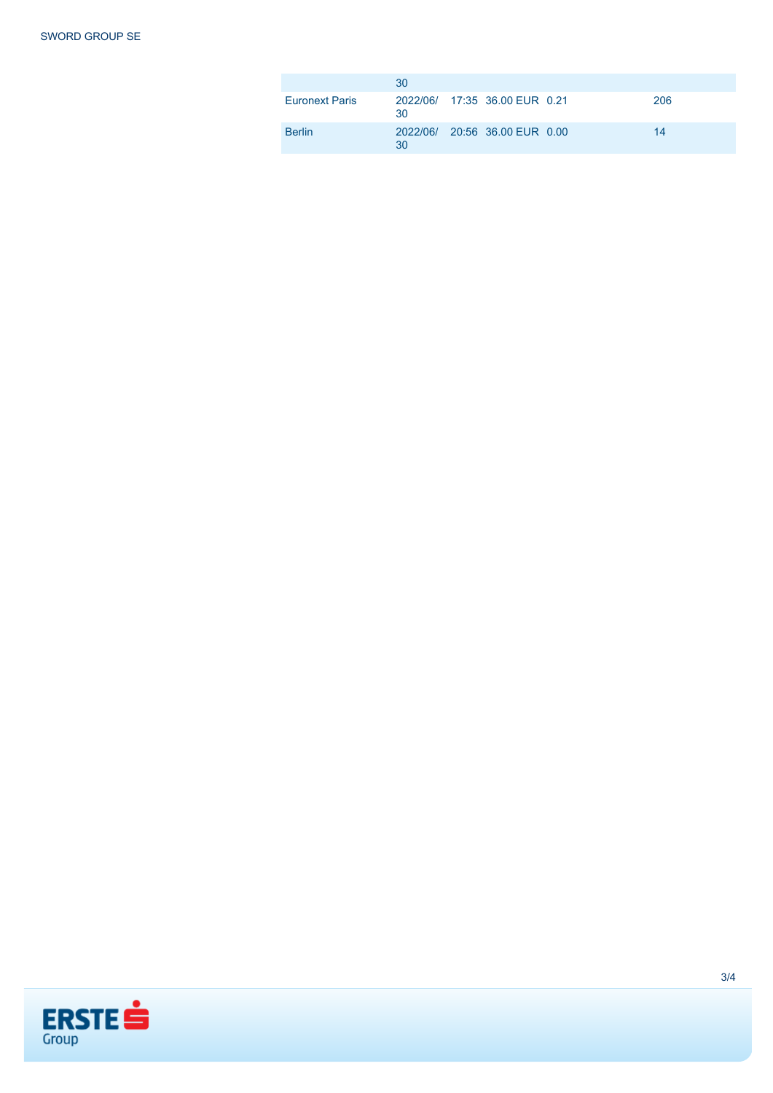|                       | 30 |                               |     |
|-----------------------|----|-------------------------------|-----|
| <b>Euronext Paris</b> | 30 | 2022/06/ 17:35 36.00 EUR 0.21 | 206 |
| <b>Berlin</b>         | 30 | 2022/06/ 20:56 36.00 EUR 0.00 | 14  |